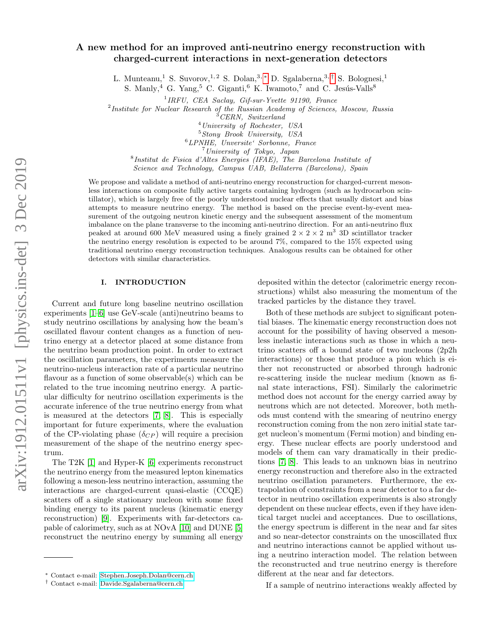# A new method for an improved anti-neutrino energy reconstruction with charged-current interactions in next-generation detectors

L. Munteanu,<sup>1</sup> S. Suvorov,<sup>1,2</sup> S. Dolan,<sup>3,\*</sup> D. Sgalaberna,<sup>3,[†](#page-0-1)</sup> S. Bolognesi,<sup>1</sup>

S. Manly,<sup>4</sup> G. Yang,<sup>5</sup> C. Giganti,<sup>6</sup> K. Iwamoto,<sup>7</sup> and C. Jesús-Valls<sup>8</sup>

<sup>1</sup> IRFU, CEA Saclay, Gif-sur-Yvette 91190, France

<sup>2</sup>Institute for Nuclear Research of the Russian Academy of Sciences, Moscow, Russia

 ${}^{3}$ CERN, Switzerland

 $<sup>4</sup> University of Rochester, USA$ </sup>

<sup>5</sup>Stony Brook University, USA

<sup>6</sup>LPNHE, Unversite' Sorbonne, France

<sup>7</sup>University of Tokyo, Japan

8 Institut de Fisica d'Altes Energies (IFAE), The Barcelona Institute of Science and Technology, Campus UAB, Bellaterra (Barcelona), Spain

We propose and validate a method of anti-neutrino energy reconstruction for charged-current mesonless interactions on composite fully active targets containing hydrogen (such as hydrocarbon scintillator), which is largely free of the poorly understood nuclear effects that usually distort and bias attempts to measure neutrino energy. The method is based on the precise event-by-event measurement of the outgoing neutron kinetic energy and the subsequent assessment of the momentum imbalance on the plane transverse to the incoming anti-neutrino direction. For an anti-neutrino flux peaked at around 600 MeV measured using a finely grained  $2 \times 2 \times 2$  m<sup>3</sup> 3D scintillator tracker the neutrino energy resolution is expected to be around 7%, compared to the 15% expected using traditional neutrino energy reconstruction techniques. Analogous results can be obtained for other detectors with similar characteristics.

# <span id="page-0-2"></span>I. INTRODUCTION

Current and future long baseline neutrino oscillation experiments [\[1–](#page-10-0)[6\]](#page-10-1) use GeV-scale (anti)neutrino beams to study neutrino oscillations by analysing how the beam's oscillated flavour content changes as a function of neutrino energy at a detector placed at some distance from the neutrino beam production point. In order to extract the oscillation parameters, the experiments measure the neutrino-nucleus interaction rate of a particular neutrino flavour as a function of some observable(s) which can be related to the true incoming neutrino energy. A particular difficulty for neutrino oscillation experiments is the accurate inference of the true neutrino energy from what is measured at the detectors [\[7,](#page-10-2) [8\]](#page-10-3). This is especially important for future experiments, where the evaluation of the CP-violating phase  $(\delta_{CP})$  will require a precision measurement of the shape of the neutrino energy spectrum.

The T2K [\[1\]](#page-10-0) and Hyper-K [\[6\]](#page-10-1) experiments reconstruct the neutrino energy from the measured lepton kinematics following a meson-less neutrino interaction, assuming the interactions are charged-current quasi-elastic (CCQE) scatters off a single stationary nucleon with some fixed binding energy to its parent nucleus (kinematic energy reconstruction) [\[9\]](#page-10-4). Experiments with far-detectors capable of calorimetry, such as at NOvA [\[10\]](#page-10-5) and DUNE [\[5\]](#page-10-6) reconstruct the neutrino energy by summing all energy

deposited within the detector (calorimetric energy reconstructions) whilst also measuring the momentum of the tracked particles by the distance they travel.

Both of these methods are subject to significant potential biases. The kinematic energy reconstruction does not account for the possibility of having observed a mesonless inelastic interactions such as those in which a neutrino scatters off a bound state of two nucleons (2p2h interactions) or those that produce a pion which is either not reconstructed or absorbed through hadronic re-scattering inside the nuclear medium (known as final state interactions, FSI). Similarly the calorimetric method does not account for the energy carried away by neutrons which are not detected. Moreover, both methods must contend with the smearing of neutrino energy reconstruction coming from the non zero initial state target nucleon's momentum (Fermi motion) and binding energy. These nuclear effects are poorly understood and models of them can vary dramatically in their predictions [\[7,](#page-10-2) [8\]](#page-10-3). This leads to an unknown bias in neutrino energy reconstruction and therefore also in the extracted neutrino oscillation parameters. Furthermore, the extrapolation of constraints from a near detector to a far detector in neutrino oscillation experiments is also strongly dependent on these nuclear effects, even if they have identical target nuclei and acceptances. Due to oscillations, the energy spectrum is different in the near and far sites and so near-detector constraints on the unoscillated flux and neutrino interactions cannot be applied without using a neutrino interaction model. The relation between the reconstructed and true neutrino energy is therefore different at the near and far detectors.

If a sample of neutrino interactions weakly affected by

<span id="page-0-0"></span><sup>∗</sup> Contact e-mail: [Stephen.Joseph.Dolan@cern.ch](mailto:Stephen.Joseph.Dolan@cern.ch)

<span id="page-0-1"></span><sup>†</sup> Contact e-mail: [Davide.Sgalaberna@cern.ch](mailto:Davide.Sgalaberna@cern.ch)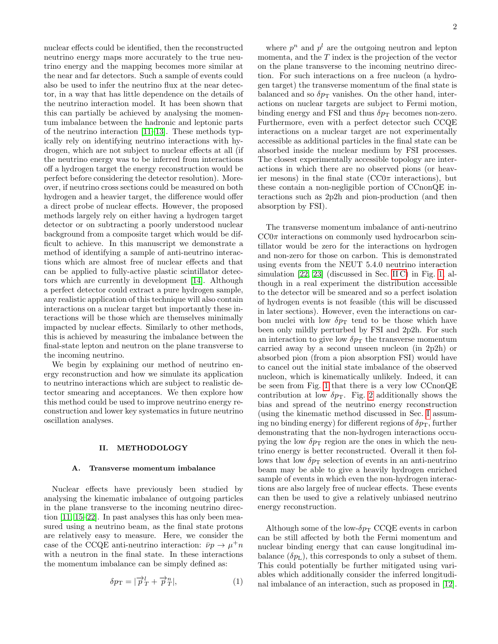nuclear effects could be identified, then the reconstructed neutrino energy maps more accurately to the true neutrino energy and the mapping becomes more similar at the near and far detectors. Such a sample of events could also be used to infer the neutrino flux at the near detector, in a way that has little dependence on the details of the neutrino interaction model. It has been shown that this can partially be achieved by analysing the momentum imbalance between the hadronic and leptonic parts of the neutrino interaction [\[11](#page-10-7)[–13\]](#page-10-8). These methods typically rely on identifying neutrino interactions with hydrogen, which are not subject to nuclear effects at all (if the neutrino energy was to be inferred from interactions off a hydrogen target the energy reconstruction would be perfect before considering the detector resolution). Moreover, if neutrino cross sections could be measured on both hydrogen and a heavier target, the difference would offer a direct probe of nuclear effects. However, the proposed methods largely rely on either having a hydrogen target detector or on subtracting a poorly understood nuclear background from a composite target which would be difficult to achieve. In this manuscript we demonstrate a method of identifying a sample of anti-neutrino interactions which are almost free of nuclear effects and that can be applied to fully-active plastic scintillator detectors which are currently in development [\[14\]](#page-10-9). Although a perfect detector could extract a pure hydrogen sample, any realistic application of this technique will also contain interactions on a nuclear target but importantly these interactions will be those which are themselves minimally impacted by nuclear effects. Similarly to other methods, this is achieved by measuring the imbalance between the final-state lepton and neutron on the plane transverse to the incoming neutrino.

We begin by explaining our method of neutrino energy reconstruction and how we simulate its application to neutrino interactions which are subject to realistic detector smearing and acceptances. We then explore how this method could be used to improve neutrino energy reconstruction and lower key systematics in future neutrino oscillation analyses.

#### <span id="page-1-2"></span>II. METHODOLOGY

### <span id="page-1-1"></span>A. Transverse momentum imbalance

Nuclear effects have previously been studied by analysing the kinematic imbalance of outgoing particles in the plane transverse to the incoming neutrino direction [\[11,](#page-10-7) [15–](#page-10-10)[22\]](#page-10-11). In past analyses this has only been measured using a neutrino beam, as the final state protons are relatively easy to measure. Here, we consider the case of the CCQE anti-neutrino interaction:  $\bar{\nu}p \to \mu^+ n$ with a neutron in the final state. In these interactions the momentum imbalance can be simply defined as:

$$
\delta p_{\rm T} = |\overrightarrow{p}_{T}^{l} + \overrightarrow{p}_{T}^{n}|, \qquad (1)
$$

where  $p^n$  and  $p^l$  are the outgoing neutron and lepton momenta, and the T index is the projection of the vector on the plane transverse to the incoming neutrino direction. For such interactions on a free nucleon (a hydrogen target) the transverse momentum of the final state is balanced and so  $\delta p_{\rm T}$  vanishes. On the other hand, interactions on nuclear targets are subject to Fermi motion, binding energy and FSI and thus  $\delta p_{\rm T}$  becomes non-zero. Furthermore, even with a perfect detector such CCQE interactions on a nuclear target are not experimentally accessible as additional particles in the final state can be absorbed inside the nuclear medium by FSI processes. The closest experimentally accessible topology are interactions in which there are no observed pions (or heavier mesons) in the final state ( $CC0\pi$  interactions), but these contain a non-negligible portion of CCnonQE interactions such as 2p2h and pion-production (and then absorption by FSI).

The transverse momentum imbalance of anti-neutrino  $CC0\pi$  interactions on commonly used hydrocarbon scintillator would be zero for the interactions on hydrogen and non-zero for those on carbon. This is demonstrated using events from the NEUT 5.4.0 neutrino interaction simulation [\[22,](#page-10-11) [23\]](#page-10-12) (discussed in Sec. [II C\)](#page-3-0) in Fig. [1,](#page-2-0) although in a real experiment the distribution accessible to the detector will be smeared and so a perfect isolation of hydrogen events is not feasible (this will be discussed in later sections). However, even the interactions on carbon nuclei with low  $\delta p_{\rm T}$  tend to be those which have been only mildly perturbed by FSI and 2p2h. For such an interaction to give low  $\delta p_{\rm T}$  the transverse momentum carried away by a second unseen nucleon (in 2p2h) or absorbed pion (from a pion absorption FSI) would have to cancel out the initial state imbalance of the observed nucleon, which is kinematically unlikely. Indeed, it can be seen from Fig. [1](#page-2-0) that there is a very low CCnonQE contribution at low  $\delta p$ <sub>T</sub>. Fig. [2](#page-2-1) additionally shows the bias and spread of the neutrino energy reconstruction (using the kinematic method discussed in Sec. [I](#page-0-2) assuming no binding energy) for different regions of  $\delta p_{\rm T}$ , further demonstrating that the non-hydrogen interactions occupying the low  $\delta p_{\rm T}$  region are the ones in which the neutrino energy is better reconstructed. Overall it then follows that low  $\delta p_{\rm T}$  selection of events in an anti-neutrino beam may be able to give a heavily hydrogen enriched sample of events in which even the non-hydrogen interactions are also largely free of nuclear effects. These events can then be used to give a relatively unbiased neutrino energy reconstruction.

<span id="page-1-0"></span>Although some of the low- $\delta p_{\rm T}$  CCQE events in carbon can be still affected by both the Fermi momentum and nuclear binding energy that can cause longitudinal imbalance  $(\delta p_{\rm L})$ , this corresponds to only a subset of them. This could potentially be further mitigated using variables which additionally consider the inferred longitudinal imbalance of an interaction, such as proposed in [\[12\]](#page-10-13).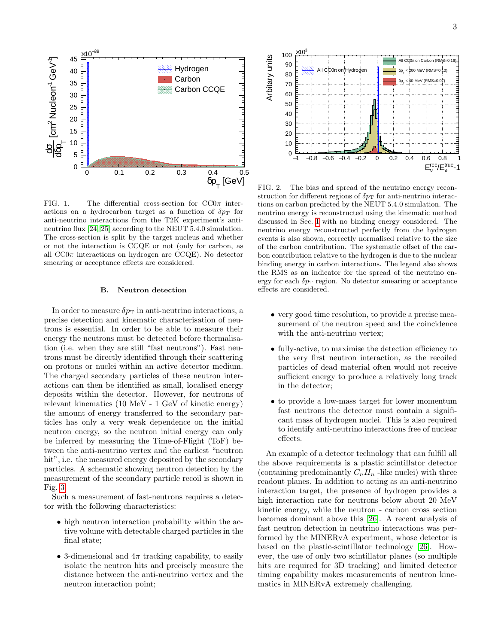

<span id="page-2-0"></span>FIG. 1. The differential cross-section for  $CC0\pi$  interactions on a hydrocarbon target as a function of  $\delta p_T$  for anti-neutrino interactions from the T2K experiment's anti-neutrino flux [\[24,](#page-10-14) [25\]](#page-10-15) according to the NEUT 5.4.0 simulation. The cross-section is split by the target nucleus and whether or not the interaction is CCQE or not (only for carbon, as all  $CC0\pi$  interactions on hydrogen are  $CCQE$ ). No detector smearing or acceptance effects are considered.

# <span id="page-2-2"></span>B. Neutron detection

In order to measure  $\delta p_{\rm T}$  in anti-neutrino interactions, a precise detection and kinematic characterisation of neutrons is essential. In order to be able to measure their energy the neutrons must be detected before thermalisation (i.e. when they are still "fast neutrons"). Fast neutrons must be directly identified through their scattering on protons or nuclei within an active detector medium. The charged secondary particles of these neutron interactions can then be identified as small, localised energy deposits within the detector. However, for neutrons of relevant kinematics (10 MeV - 1 GeV of kinetic energy) the amount of energy transferred to the secondary particles has only a very weak dependence on the initial neutron energy, so the neutron initial energy can only be inferred by measuring the Time-of-Flight (ToF) between the anti-neutrino vertex and the earliest "neutron hit", i.e. the measured energy deposited by the secondary particles. A schematic showing neutron detection by the measurement of the secondary particle recoil is shown in Fig. [3.](#page-3-1)

Such a measurement of fast-neutrons requires a detector with the following characteristics:

- high neutron interaction probability within the active volume with detectable charged particles in the final state;
- 3-dimensional and  $4\pi$  tracking capability, to easily isolate the neutron hits and precisely measure the distance between the anti-neutrino vertex and the neutron interaction point;



<span id="page-2-1"></span>FIG. 2. The bias and spread of the neutrino energy reconstruction for different regions of  $\delta p_T$  for anti-neutrino interactions on carbon predicted by the NEUT 5.4.0 simulation. The neutrino energy is reconstructed using the kinematic method discussed in Sec. [I](#page-0-2) with no binding energy considered. The neutrino energy reconstructed perfectly from the hydrogen events is also shown, correctly normalised relative to the size of the carbon contribution. The systematic offset of the carbon contribution relative to the hydrogen is due to the nuclear binding energy in carbon interactions. The legend also shows the RMS as an indicator for the spread of the neutrino energy for each  $\delta p_{\rm T}$  region. No detector smearing or acceptance effects are considered.

- very good time resolution, to provide a precise measurement of the neutron speed and the coincidence with the anti-neutrino vertex;
- fully-active, to maximise the detection efficiency to the very first neutron interaction, as the recoiled particles of dead material often would not receive sufficient energy to produce a relatively long track in the detector;
- to provide a low-mass target for lower momentum fast neutrons the detector must contain a significant mass of hydrogen nuclei. This is also required to identify anti-neutrino interactions free of nuclear effects.

An example of a detector technology that can fulfill all the above requirements is a plastic scintillator detector (containing predominantly  $C_nH_n$  -like nuclei) with three readout planes. In addition to acting as an anti-neutrino interaction target, the presence of hydrogen provides a high interaction rate for neutrons below about 20 MeV kinetic energy, while the neutron - carbon cross section becomes dominant above this [\[26\]](#page-10-16). A recent analysis of fast neutron detection in neutrino interactions was performed by the MINERvA experiment, whose detector is based on the plastic-scintillator technology [\[26\]](#page-10-16). However, the use of only two scintillator planes (so multiple hits are required for 3D tracking) and limited detector timing capability makes measurements of neutron kinematics in MINERvA extremely challenging.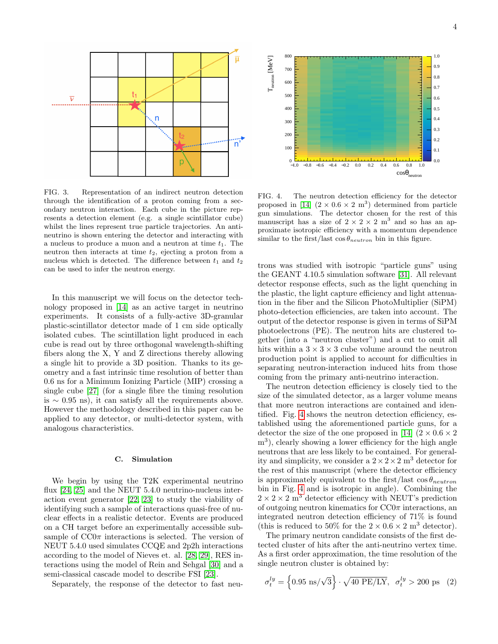

<span id="page-3-1"></span>FIG. 3. Representation of an indirect neutron detection through the identification of a proton coming from a secondary neutron interaction. Each cube in the picture represents a detection element (e.g. a single scintillator cube) whilst the lines represent true particle trajectories. An antineutrino is shown entering the detector and interacting with a nucleus to produce a muon and a neutron at time  $t_1$ . The neutron then interacts at time  $t_2$ , ejecting a proton from a nucleus which is detected. The difference between  $t_1$  and  $t_2$ can be used to infer the neutron energy.

In this manuscript we will focus on the detector technology proposed in [\[14\]](#page-10-9) as an active target in neutrino experiments. It consists of a fully-active 3D-granular plastic-scintillator detector made of 1 cm side optically isolated cubes. The scintillation light produced in each cube is read out by three orthogonal wavelength-shifting fibers along the X, Y and Z directions thereby allowing a single hit to provide a 3D position. Thanks to its geometry and a fast intrinsic time resolution of better than 0.6 ns for a Minimum Ionizing Particle (MIP) crossing a single cube [\[27\]](#page-10-17) (for a single fibre the timing resolution is  $\sim$  0.95 ns), it can satisfy all the requirements above. However the methodology described in this paper can be applied to any detector, or multi-detector system, with analogous characteristics.

### <span id="page-3-0"></span>C. Simulation

We begin by using the T2K experimental neutrino flux [\[24,](#page-10-14) [25\]](#page-10-15) and the NEUT 5.4.0 neutrino-nucleus interaction event generator [\[22,](#page-10-11) [23\]](#page-10-12) to study the viability of identifying such a sample of interactions quasi-free of nuclear effects in a realistic detector. Events are produced on a CH target before an experimentally accessible subsample of  $CC0\pi$  interactions is selected. The version of NEUT 5.4.0 used simulates CCQE and 2p2h interactions according to the model of Nieves et. al. [\[28,](#page-10-18) [29\]](#page-10-19), RES interactions using the model of Rein and Sehgal [\[30\]](#page-10-20) and a semi-classical cascade model to describe FSI [\[23\]](#page-10-12).

Separately, the response of the detector to fast neu-



<span id="page-3-2"></span>FIG. 4. The neutron detection efficiency for the detector proposed in [\[14\]](#page-10-9)  $(2 \times 0.6 \times 2 \text{ m}^3)$  determined from particle gun simulations. The detector chosen for the rest of this manuscript has a size of  $2 \times 2 \times 2$  m<sup>3</sup> and so has an approximate isotropic efficiency with a momentum dependence similar to the first/last  $\cos\theta_{neutron}$  bin in this figure.

trons was studied with isotropic "particle guns" using the GEANT 4.10.5 simulation software [\[31\]](#page-10-21). All relevant detector response effects, such as the light quenching in the plastic, the light capture efficiency and light attenuation in the fiber and the Silicon PhotoMultiplier (SiPM) photo-detection efficiencies, are taken into account. The output of the detector response is given in terms of SiPM photoelectrons (PE). The neutron hits are clustered together (into a "neutron cluster") and a cut to omit all hits within a  $3 \times 3 \times 3$  cube volume around the neutron production point is applied to account for difficulties in separating neutron-interaction induced hits from those coming from the primary anti-neutrino interaction.

The neutron detection efficiency is closely tied to the size of the simulated detector, as a larger volume means that more neutron interactions are contained and identified. Fig. [4](#page-3-2) shows the neutron detection efficiency, established using the aforementioned particle guns, for a detector the size of the one proposed in [\[14\]](#page-10-9)  $(2 \times 0.6 \times 2)$ m<sup>3</sup> ), clearly showing a lower efficiency for the high angle neutrons that are less likely to be contained. For generality and simplicity, we consider a  $2 \times 2 \times 2$  m<sup>3</sup> detector for the rest of this manuscript (where the detector efficiency is approximately equivalent to the first/last  $\cos\theta_{neutron}$ bin in Fig. [4](#page-3-2) and is isotropic in angle). Combining the  $2\times2\times2$  m<sup>3</sup> detector efficiency with NEUT's prediction of outgoing neutron kinematics for  $CC0\pi$  interactions, an integrated neutron detection efficiency of 71% is found (this is reduced to 50% for the  $2 \times 0.6 \times 2$  m<sup>3</sup> detector).

The primary neutron candidate consists of the first detected cluster of hits after the anti-neutrino vertex time. As a first order approximation, the time resolution of the single neutron cluster is obtained by:

<span id="page-3-3"></span>
$$
\sigma_t^{ly} = \left\{ 0.95 \text{ ns}/\sqrt{3} \right\} \cdot \sqrt{40 \text{ PE}/\text{LY}}, \sigma_t^{ly} > 200 \text{ ps } (2)
$$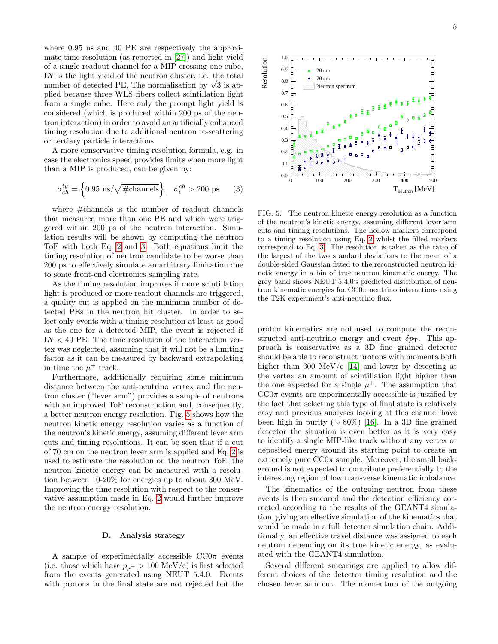where 0.95 ns and 40 PE are respectively the approximate time resolution (as reported in [\[27\]](#page-10-17)) and light yield of a single readout channel for a MIP crossing one cube, LY is the light yield of the neutron cluster, i.e. the total LY is the light yield of the neutron cluster, i.e. the total<br>number of detected PE. The normalisation by  $\sqrt{3}$  is applied because three WLS fibers collect scintillation light from a single cube. Here only the prompt light yield is considered (which is produced within 200 ps of the neutron interaction) in order to avoid an artificially enhanced timing resolution due to additional neutron re-scattering or tertiary particle interactions.

A more conservative timing resolution formula, e.g. in case the electronics speed provides limits when more light than a MIP is produced, can be given by:

$$
\sigma_{ch}^{ly} = \left\{ 0.95 \, \text{ns} / \sqrt{\text{\#channels}} \right\}, \, \sigma_t^{ch} > 200 \, \text{ps} \tag{3}
$$

where #channels is the number of readout channels that measured more than one PE and which were triggered within 200 ps of the neutron interaction. Simulation results will be shown by computing the neutron ToF with both Eq. [2](#page-3-3) and [3.](#page-4-0) Both equations limit the timing resolution of neutron candidate to be worse than 200 ps to effectively simulate an arbitrary limitation due to some front-end electronics sampling rate.

As the timing resolution improves if more scintillation light is produced or more readout channels are triggered, a quality cut is applied on the minimum number of detected PEs in the neutron hit cluster. In order to select only events with a timing resolution at least as good as the one for a detected MIP, the event is rejected if  $LY < 40$  PE. The time resolution of the interaction vertex was neglected, assuming that it will not be a limiting factor as it can be measured by backward extrapolating in time the  $\mu^+$  track.

Furthermore, additionally requiring some minimum distance between the anti-neutrino vertex and the neutron cluster ("lever arm") provides a sample of neutrons with an improved ToF reconstruction and, consequently, a better neutron energy resolution. Fig. [5](#page-4-1) shows how the neutron kinetic energy resolution varies as a function of the neutron's kinetic energy, assuming different lever arm cuts and timing resolutions. It can be seen that if a cut of 70 cm on the neutron lever arm is applied and Eq. [2](#page-3-3) is used to estimate the resolution on the neutron ToF, the neutron kinetic energy can be measured with a resolution between 10-20% for energies up to about 300 MeV. Improving the time resolution with respect to the conservative assumption made in Eq. [2](#page-3-3) would further improve the neutron energy resolution.

# <span id="page-4-2"></span>D. Analysis strategy

A sample of experimentally accessible  $CC0\pi$  events (i.e. those which have  $p_{\mu^+} > 100 \text{ MeV/c}$ ) is first selected from the events generated using NEUT 5.4.0. Events with protons in the final state are not rejected but the



<span id="page-4-1"></span><span id="page-4-0"></span>FIG. 5. The neutron kinetic energy resolution as a function of the neutron's kinetic energy, assuming different lever arm cuts and timing resolutions. The hollow markers correspond to a timing resolution using Eq. [2](#page-3-3) whilst the filled markers correspond to Eq. [3.](#page-4-0) The resolution is taken as the ratio of the largest of the two standard deviations to the mean of a double-sided Gaussian fitted to the reconstructed neutron kinetic energy in a bin of true neutron kinematic energy. The grey band shows NEUT 5.4.0's predicted distribution of neutron kinematic energies for  $CC0\pi$  neutrino interactions using the T2K experiment's anti-neutrino flux.

proton kinematics are not used to compute the reconstructed anti-neutrino energy and event  $\delta p$ <sub>T</sub>. This approach is conservative as a 3D fine grained detector should be able to reconstruct protons with momenta both higher than 300 MeV/c [\[14\]](#page-10-9) and lower by detecting at the vertex an amount of scintillation light higher than the one expected for a single  $\mu^+$ . The assumption that  $CC0\pi$  events are experimentally accessible is justified by the fact that selecting this type of final state is relatively easy and previous analyses looking at this channel have been high in purity ( $\sim 80\%$ ) [\[16\]](#page-10-22). In a 3D fine grained detector the situation is even better as it is very easy to identify a single MIP-like track without any vertex or deposited energy around its starting point to create an extremely pure  $CC0\pi$  sample. Moreover, the small background is not expected to contribute preferentially to the interesting region of low transverse kinematic imbalance.

The kinematics of the outgoing neutron from these events is then smeared and the detection efficiency corrected according to the results of the GEANT4 simulation, giving an effective simulation of the kinematics that would be made in a full detector simulation chain. Additionally, an effective travel distance was assigned to each neutron depending on its true kinetic energy, as evaluated with the GEANT4 simulation.

Several different smearings are applied to allow different choices of the detector timing resolution and the chosen lever arm cut. The momentum of the outgoing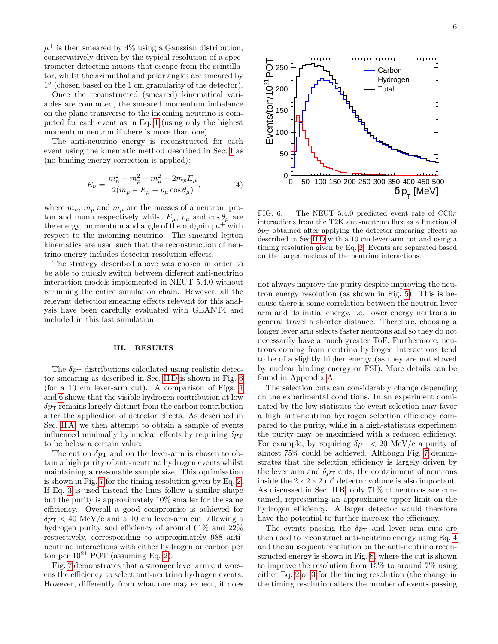$\mu^+$  is then smeared by 4% using a Gaussian distribution, conservatively driven by the typical resolution of a spectrometer detecting muons that escape from the scintillator, whilst the azimuthal and polar angles are smeared by 1 ◦ (chosen based on the 1 cm granularity of the detector).

Once the reconstructed (smeared) kinematical variables are computed, the smeared momentum imbalance on the plane transverse to the incoming neutrino is computed for each event as in Eq. [1](#page-1-0) (using only the highest momentum neutron if there is more than one).

The anti-neutrino energy is reconstructed for each event using the kinematic method described in Sec. [I](#page-0-2) as (no binding energy correction is applied):

$$
E_{\nu} = \frac{m_n^2 - m_p^2 - m_\mu^2 + 2m_p E_\mu}{2(m_p - E_\mu + p_\mu \cos \theta_\mu)},\tag{4}
$$

where  $m_n$ ,  $m_p$  and  $m_\mu$  are the masses of a neutron, proton and muon respectively whilst  $E_{\mu}$ ,  $p_{\mu}$  and  $\cos \theta_{\mu}$  are the energy, momentum and angle of the outgoing  $\mu^+$  with respect to the incoming neutrino. The smeared lepton kinematics are used such that the reconstruction of neutrino energy includes detector resolution effects.

The strategy described above was chosen in order to be able to quickly switch between different anti-neutrino interaction models implemented in NEUT 5.4.0 without rerunning the entire simulation chain. However, all the relevant detection smearing effects relevant for this analysis have been carefully evaluated with GEANT4 and included in this fast simulation.

# <span id="page-5-2"></span>III. RESULTS

The  $\delta p_{\rm T}$  distributions calculated using realistic detector smearing as described in Sec. [II D](#page-4-2) is shown in Fig. [6](#page-5-0) (for a 10 cm lever-arm cut). A comparison of Figs. [1](#page-2-0) and [6](#page-5-0) shows that the visible hydrogen contribution at low  $\delta p_T$  remains largely distinct from the carbon contribution after the application of detector effects. As described in Sec. [II A,](#page-1-1) we then attempt to obtain a sample of events influenced minimally by nuclear effects by requiring  $\delta p_{\rm T}$ to be below a certain value.

The cut on  $\delta p_{\rm T}$  and on the lever-arm is chosen to obtain a high purity of anti-neutrino hydrogen events whilst maintaining a reasonable sample size. This optimisation is shown in Fig. [7](#page-6-0) for the timing resolution given by Eq. [2.](#page-3-3) If Eq. [3](#page-4-0) is used instead the lines follow a similar shape but the purity is approximately 10% smaller for the same efficiency. Overall a good compromise is achieved for  $\delta p_{\rm T}$  < 40 MeV/c and a 10 cm lever-arm cut, allowing a hydrogen purity and efficiency of around 61% and 22% respectively, corresponding to approximately 988 antineutrino interactions with either hydrogen or carbon per ton per  $10^{21}$  POT (assuming Eq. [2\)](#page-3-3).

Fig. [7](#page-6-0) demonstrates that a stronger lever arm cut worsens the efficiency to select anti-neutrino hydrogen events. However, differently from what one may expect, it does



<span id="page-5-1"></span><span id="page-5-0"></span>FIG. 6. The NEUT 5.4.0 predicted event rate of  $CC0\pi$ interactions from the T2K anti-neutrino flux as a function of  $\delta p_T$  obtained after applying the detector smearing effects as described in Sec[.II D](#page-4-2) with a 10 cm lever-arm cut and using a timing resolution given by Eq. [2.](#page-3-3) Events are separated based on the target nucleus of the neutrino interactions.

not always improve the purity despite improving the neutron energy resolution (as shown in Fig. [5\)](#page-4-1). This is because there is some correlation between the neutron lever arm and its initial energy, i.e. lower energy neutrons in general travel a shorter distance. Therefore, choosing a longer lever arm selects faster neutrons and so they do not necessarily have a much greater ToF. Furthermore, neutrons coming from neutrino hydrogen interactions tend to be of a slightly higher energy (as they are not slowed by nuclear binding energy or FSI). More details can be found in Appendix [A.](#page-9-0)

The selection cuts can considerably change depending on the experimental conditions. In an experiment dominated by the low statistics the event selection may favor a high anti-neutrino hydrogen selection efficiency compared to the purity, while in a high-statistics experiment the purity may be maximised with a reduced efficiency. For example, by requiring  $\delta p_{\rm T} < 20$  MeV/c a purity of almost 75% could be achieved. Although Fig. [7](#page-6-0) demonstrates that the selection efficiency is largely driven by the lever arm and  $\delta p_{\rm T}$  cuts, the containment of neutrons inside the  $2 \times 2 \times 2$  m<sup>3</sup> detector volume is also important. As discussed in Sec. [II B,](#page-2-2) only 71% of neutrons are contained, representing an approximate upper limit on the hydrogen efficiency. A larger detector would therefore have the potential to further increase the efficiency.

The events passing the  $\delta p_{\rm T}$  and lever arm cuts are then used to reconstruct anti-neutrino energy using Eq. [4](#page-5-1) and the subsequent resolution on the anti-neutrino reconstructed energy is shown in Fig. [8,](#page-6-1) where the cut is shown to improve the resolution from 15% to around 7% using either Eq. [2](#page-3-3) or [3](#page-4-0) for the timing resolution (the change in the timing resolution alters the number of events passing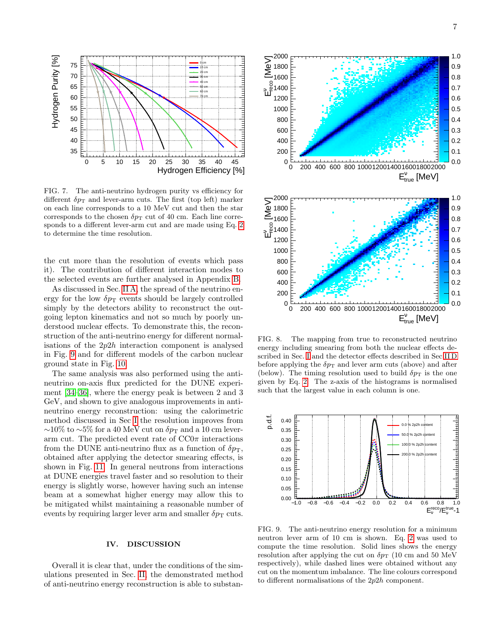

<span id="page-6-0"></span>FIG. 7. The anti-neutrino hydrogen purity vs efficiency for different  $\delta p_{\rm T}$  and lever-arm cuts. The first (top left) marker on each line corresponds to a 10 MeV cut and then the star corresponds to the chosen  $\delta p_{\rm T}$  cut of 40 cm. Each line corresponds to a different lever-arm cut and are made using Eq. [2](#page-3-3) to determine the time resolution.

the cut more than the resolution of events which pass it). The contribution of different interaction modes to the selected events are further analysed in Appendix [B.](#page-9-1)

As discussed in Sec. [II A,](#page-1-1) the spread of the neutrino energy for the low  $\delta p$ <sub>T</sub> events should be largely controlled simply by the detectors ability to reconstruct the outgoing lepton kinematics and not so much by poorly understood nuclear effects. To demonstrate this, the reconstruction of the anti-neutrino energy for different normalisations of the  $2p2h$  interaction component is analysed in Fig. [9](#page-6-2) and for different models of the carbon nuclear ground state in Fig. [10.](#page-7-0)

The same analysis was also performed using the antineutrino on-axis flux predicted for the DUNE experiment [\[34–](#page-10-23)[36\]](#page-10-24), where the energy peak is between 2 and 3 GeV, and shown to give analogous improvements in antineutrino energy reconstruction: using the calorimetric method discussed in Sec [I](#page-0-2) the resolution improves from  $∼10\%$  to  $∼5\%$  for a 40 MeV cut on  $\delta p_T$  and a 10 cm leverarm cut. The predicted event rate of  $CC0\pi$  interactions from the DUNE anti-neutrino flux as a function of  $\delta p_T$ , obtained after applying the detector smearing effects, is shown in Fig. [11.](#page-7-1) In general neutrons from interactions at DUNE energies travel faster and so resolution to their energy is slightly worse, however having such an intense beam at a somewhat higher energy may allow this to be mitigated whilst maintaining a reasonable number of events by requiring larger lever arm and smaller  $\delta p_{\rm T}$  cuts.

### IV. DISCUSSION

Overall it is clear that, under the conditions of the simulations presented in Sec. [II,](#page-1-2) the demonstrated method of anti-neutrino energy reconstruction is able to substan-



<span id="page-6-1"></span>FIG. 8. The mapping from true to reconstructed neutrino energy including smearing from both the nuclear effects described in Sec. [I](#page-0-2) and the detector effects described in Sec[.II D](#page-4-2) before applying the  $\delta p_T$  and lever arm cuts (above) and after (below). The timing resolution used to build  $\delta p_{\rm T}$  is the one given by Eq. [2.](#page-3-3) The z-axis of the histograms is normalised such that the largest value in each column is one.

![](_page_6_Figure_10.jpeg)

<span id="page-6-2"></span>FIG. 9. The anti-neutrino energy resolution for a minimum neutron lever arm of 10 cm is shown. Eq. [2](#page-3-3) was used to compute the time resolution. Solid lines shows the energy resolution after applying the cut on  $\delta p_T$  (10 cm and 50 MeV) respectively), while dashed lines were obtained without any cut on the momentum imbalance. The line colours correspond to different normalisations of the 2p2h component.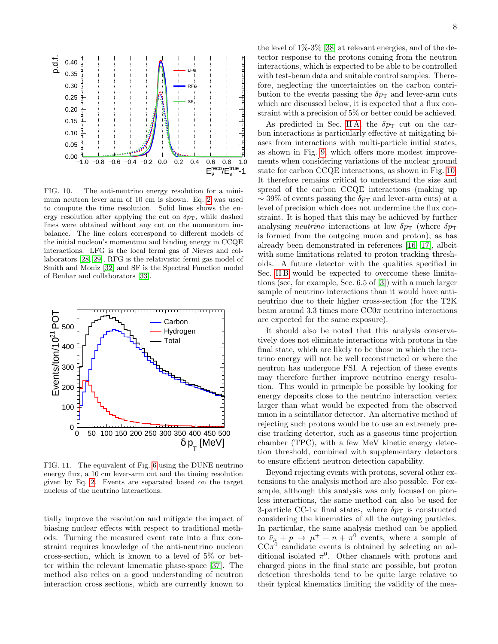![](_page_7_Figure_0.jpeg)

<span id="page-7-0"></span>FIG. 10. The anti-neutrino energy resolution for a minimum neutron lever arm of 10 cm is shown. Eq. [2](#page-3-3) was used to compute the time resolution. Solid lines shows the energy resolution after applying the cut on  $\delta p_T$ , while dashed lines were obtained without any cut on the momentum imbalance. The line colors correspond to different models of the initial nucleon's momentum and binding energy in CCQE interactions. LFG is the local fermi gas of Nieves and collaborators [\[28,](#page-10-18) [29\]](#page-10-19), RFG is the relativistic fermi gas model of Smith and Moniz [\[32\]](#page-10-25) and SF is the Spectral Function model of Benhar and collaborators [\[33\]](#page-10-26).

![](_page_7_Figure_2.jpeg)

<span id="page-7-1"></span>FIG. 11. The equivalent of Fig. [6](#page-5-0) using the DUNE neutrino energy flux, a 10 cm lever-arm cut and the timing resolution given by Eq. [2.](#page-3-3) Events are separated based on the target nucleus of the neutrino interactions.

tially improve the resolution and mitigate the impact of biasing nuclear effects with respect to traditional methods. Turning the measured event rate into a flux constraint requires knowledge of the anti-neutrino nucleon cross-section, which is known to a level of 5% or better within the relevant kinematic phase-space [\[37\]](#page-10-27). The method also relies on a good understanding of neutron interaction cross sections, which are currently known to

the level of 1%-3% [\[38\]](#page-10-28) at relevant energies, and of the detector response to the protons coming from the neutron interactions, which is expected to be able to be controlled with test-beam data and suitable control samples. Therefore, neglecting the uncertainties on the carbon contribution to the events passing the  $\delta p_{\rm T}$  and lever-arm cuts which are discussed below, it is expected that a flux constraint with a precision of 5% or better could be achieved.

As predicted in Sec. [II A,](#page-1-1) the  $\delta p_{\rm T}$  cut on the carbon interactions is particularly effective at mitigating biases from interactions with multi-particle initial states, as shown in Fig. [9,](#page-6-2) which offers more modest improvements when considering variations of the nuclear ground state for carbon CCQE interactions, as shown in Fig. [10.](#page-7-0) It therefore remains critical to understand the size and spread of the carbon CCQE interactions (making up  $\sim$  39% of events passing the  $\delta p_{\rm T}$  and lever-arm cuts) at a level of precision which does not undermine the flux constraint. It is hoped that this may be achieved by further analysing *neutrino* interactions at low  $\delta p_{\rm T}$  (where  $\delta p_{\rm T}$ is formed from the outgoing muon and proton), as has already been demonstrated in references [\[16,](#page-10-22) [17\]](#page-10-29), albeit with some limitations related to proton tracking thresholds. A future detector with the qualities specified in Sec. IIB would be expected to overcome these limitations (see, for example, Sec. 6.5 of [\[3\]](#page-10-30)) with a much larger sample of neutrino interactions than it would have antineutrino due to their higher cross-section (for the T2K beam around 3.3 times more  $CC0\pi$  neutrino interactions are expected for the same exposure).

It should also be noted that this analysis conservatively does not eliminate interactions with protons in the final state, which are likely to be those in which the neutrino energy will not be well reconstructed or where the neutron has undergone FSI. A rejection of these events may therefore further improve neutrino energy resolution. This would in principle be possible by looking for energy deposits close to the neutrino interaction vertex larger than what would be expected from the observed muon in a scintillator detector. An alternative method of rejecting such protons would be to use an extremely precise tracking detector, such as a gaseous time projection chamber (TPC), with a few MeV kinetic energy detection threshold, combined with supplementary detectors to ensure efficient neutron detection capability.

Beyond rejecting events with protons, several other extensions to the analysis method are also possible. For example, although this analysis was only focused on pionless interactions, the same method can also be used for 3-particle CC-1 $\pi$  final states, where  $\delta p$ <sub>T</sub> is constructed considering the kinematics of all the outgoing particles. In particular, the same analysis method can be applied to  $\bar{\nu}_{\mu} + p \rightarrow \mu^{+} + n + \pi^{0}$  events, where a sample of  $CC\pi^0$  candidate events is obtained by selecting an additional isolated  $\pi^0$ . Other channels with protons and charged pions in the final state are possible, but proton detection thresholds tend to be quite large relative to their typical kinematics limiting the validity of the mea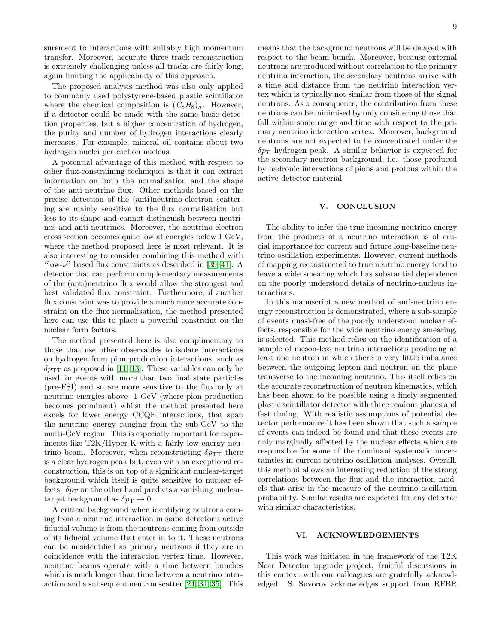surement to interactions with suitably high momentum transfer. Moreover, accurate three track reconstruction is extremely challenging unless all tracks are fairly long, again limiting the applicability of this approach.

The proposed analysis method was also only applied to commonly used polystyrene-based plastic scintillator where the chemical composition is  $(C_8H_8)_n$ . However, if a detector could be made with the same basic detection properties, but a higher concentration of hydrogen, the purity and number of hydrogen interactions clearly increases. For example, mineral oil contains about two hydrogen nuclei per carbon nucleus.

A potential advantage of this method with respect to other flux-constraining techniques is that it can extract information on both the normalisation and the shape of the anti-neutrino flux. Other methods based on the precise detection of the (anti)neutrino-electron scattering are mainly sensitive to the flux normalisation but less to its shape and cannot distinguish between neutrinos and anti-neutrinos. Moreover, the neutrino-electron cross section becomes quite low at energies below 1 GeV, where the method proposed here is most relevant. It is also interesting to consider combining this method with "low- $\nu$ " based flux constraints as described in [\[39–](#page-10-31)[41\]](#page-10-32). A detector that can perform complementary measurements of the (anti)neutrino flux would allow the strongest and best validated flux constraint. Furthermore, if another flux constraint was to provide a much more accurate constraint on the flux normalisation, the method presented here can use this to place a powerful constraint on the nuclear form factors.

The method presented here is also complimentary to those that use other observables to isolate interactions on hydrogen from pion production interactions, such as  $\delta p_{TT}$  as proposed in [\[11,](#page-10-7) [13\]](#page-10-8). These variables can only be used for events with more than two final state particles (pre-FSI) and so are more sensitive to the flux only at neutrino energies above 1 GeV (where pion production becomes prominent) whilst the method presented here excels for lower energy CCQE interactions, that span the neutrino energy ranging from the sub-GeV to the multi-GeV region. This is especially important for experiments like T2K/Hyper-K with a fairly low energy neutrino beam. Moreover, when reconstructing  $\delta p_{TT}$  there is a clear hydrogen peak but, even with an exceptional reconstruction, this is on top of a significant nuclear-target background which itself is quite sensitive to nuclear effects.  $\delta p_{\rm T}$  on the other hand predicts a vanishing nucleartarget background as  $\delta p_{\rm T} \rightarrow 0$ .

A critical background when identifying neutrons coming from a neutrino interaction in some detector's active fiducial volume is from the neutrons coming from outside of its fiducial volume that enter in to it. These neutrons can be misidentified as primary neutrons if they are in coincidence with the interaction vertex time. However, neutrino beams operate with a time between bunches which is much longer than time between a neutrino interaction and a subsequent neutron scatter [\[24,](#page-10-14) [34,](#page-10-23) [35\]](#page-10-33). This

9

means that the background neutrons will be delayed with respect to the beam bunch. Moreover, because external neutrons are produced without correlation to the primary neutrino interaction, the secondary neutrons arrive with a time and distance from the neutrino interaction vertex which is typically not similar from those of the signal neutrons. As a consequence, the contribution from these neutrons can be minimised by only considering those that fall within some range and time with respect to the primary neutrino interaction vertex. Moreover, background neutrons are not expected to be concentrated under the  $\delta p_T$  hydrogen peak. A similar behavior is expected for the secondary neutron background, i.e. those produced by hadronic interactions of pions and protons within the active detector material.

# V. CONCLUSION

The ability to infer the true incoming neutrino energy from the products of a neutrino interaction is of crucial importance for current and future long-baseline neutrino oscillation experiments. However, current methods of mapping reconstructed to true neutrino energy tend to leave a wide smearing which has substantial dependence on the poorly understood details of neutrino-nucleus interactions.

In this manuscript a new method of anti-neutrino energy reconstruction is demonstrated, where a sub-sample of events quasi-free of the poorly understood nuclear effects, responsible for the wide neutrino energy smearing, is selected. This method relies on the identification of a sample of meson-less neutrino interactions producing at least one neutron in which there is very little imbalance between the outgoing lepton and neutron on the plane transverse to the incoming neutrino. This itself relies on the accurate reconstruction of neutron kinematics, which has been shown to be possible using a finely segmented plastic scintillator detector with three readout planes and fast timing. With realistic assumptions of potential detector performance it has been shown that such a sample of events can indeed be found and that these events are only marginally affected by the nuclear effects which are responsible for some of the dominant systematic uncertainties in current neutrino oscillation analyses. Overall, this method allows an interesting reduction of the strong correlations between the flux and the interaction models that arise in the measure of the neutrino oscillation probability. Similar results are expected for any detector with similar characteristics.

# VI. ACKNOWLEDGEMENTS

This work was initiated in the framework of the T2K Near Detector upgrade project, fruitful discussions in this context with our colleagues are gratefully acknowledged. S. Suvorov acknowledges support from RFBR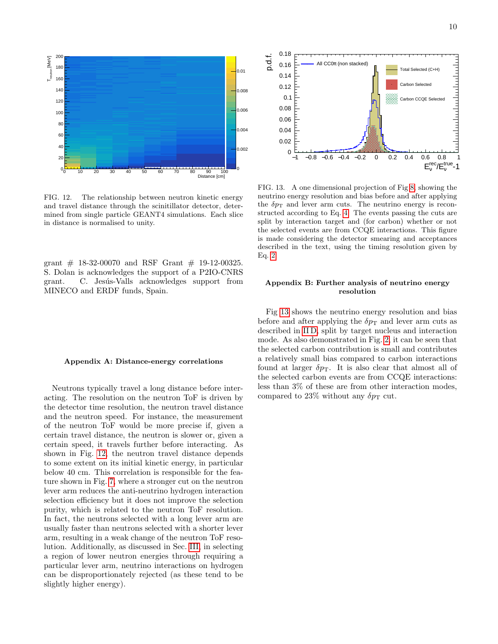![](_page_9_Figure_1.jpeg)

<span id="page-9-2"></span>FIG. 12. The relationship between neutron kinetic energy and travel distance through the scinitillator detector, determined from single particle GEANT4 simulations. Each slice in distance is normalised to unity.

grant  $\#$  18-32-00070 and RSF Grant  $\#$  19-12-00325. S. Dolan is acknowledges the support of a P2IO-CNRS grant. C. Jesús-Valls acknowledges support from MINECO and ERDF funds, Spain.

### <span id="page-9-0"></span>Appendix A: Distance-energy correlations

Neutrons typically travel a long distance before interacting. The resolution on the neutron ToF is driven by the detector time resolution, the neutron travel distance and the neutron speed. For instance, the measurement of the neutron ToF would be more precise if, given a certain travel distance, the neutron is slower or, given a certain speed, it travels further before interacting. As shown in Fig. [12,](#page-9-2) the neutron travel distance depends to some extent on its initial kinetic energy, in particular below 40 cm. This correlation is responsible for the feature shown in Fig. [7,](#page-6-0) where a stronger cut on the neutron lever arm reduces the anti-neutrino hydrogen interaction selection efficiency but it does not improve the selection purity, which is related to the neutron ToF resolution. In fact, the neutrons selected with a long lever arm are usually faster than neutrons selected with a shorter lever arm, resulting in a weak change of the neutron ToF resolution. Additionally, as discussed in Sec. [III,](#page-5-2) in selecting a region of lower neutron energies through requiring a particular lever arm, neutrino interactions on hydrogen can be disproportionately rejected (as these tend to be slightly higher energy).

![](_page_9_Figure_6.jpeg)

<span id="page-9-3"></span>FIG. 13. A one dimensional projection of Fig [8,](#page-6-1) showing the neutrino energy resolution and bias before and after applying the  $\delta p_{\rm T}$  and lever arm cuts. The neutrino energy is reconstructed according to Eq. [4.](#page-5-1) The events passing the cuts are split by interaction target and (for carbon) whether or not the selected events are from CCQE interactions. This figure is made considering the detector smearing and acceptances described in the text, using the timing resolution given by Eq. [2.](#page-3-3)

# <span id="page-9-1"></span>Appendix B: Further analysis of neutrino energy resolution

Fig [13](#page-9-3) shows the neutrino energy resolution and bias before and after applying the  $\delta p_{\rm T}$  and lever arm cuts as described in [II D,](#page-4-2) split by target nucleus and interaction mode. As also demonstrated in Fig. [2,](#page-2-1) it can be seen that the selected carbon contribution is small and contributes a relatively small bias compared to carbon interactions found at larger  $\delta p_T$ . It is also clear that almost all of the selected carbon events are from CCQE interactions: less than 3% of these are from other interaction modes, compared to 23% without any  $\delta p_{\rm T}$  cut.